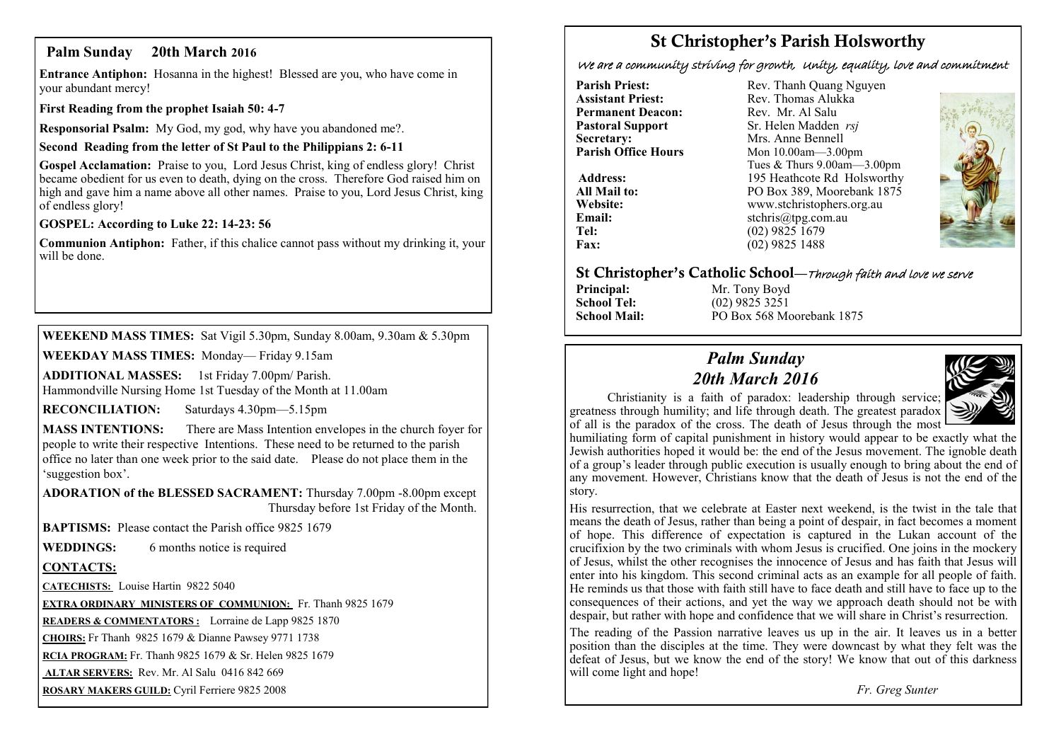## **Palm Sunday 20th March 2016**

**Entrance Antiphon:** Hosanna in the highest! Blessed are you, who have come in your abundant mercy!

**First Reading from the prophet Isaiah 50: 4-7**

**Responsorial Psalm:** My God, my god, why have you abandoned me?.

**Second Reading from the letter of St Paul to the Philippians 2: 6-11**

**Gospel Acclamation:** Praise to you, Lord Jesus Christ, king of endless glory! Christ became obedient for us even to death, dying on the cross. Therefore God raised him on high and gave him a name above all other names. Praise to you, Lord Jesus Christ, king of endless glory!

**GOSPEL: According to Luke 22: 14-23: 56**

**Communion Antiphon:** Father, if this chalice cannot pass without my drinking it, your will be done.

**WEEKEND MASS TIMES:** Sat Vigil 5.30pm, Sunday 8.00am, 9.30am & 5.30pm

**WEEKDAY MASS TIMES:** Monday— Friday 9.15am

**ADDITIONAL MASSES:** 1st Friday 7.00pm/ Parish. Hammondville Nursing Home 1st Tuesday of the Month at 11.00am

**RECONCILIATION:** Saturdays 4.30pm—5.15pm

**MASS INTENTIONS:** There are Mass Intention envelopes in the church foyer for people to write their respective Intentions. These need to be returned to the parish office no later than one week prior to the said date. Please do not place them in the 'suggestion box'.

**ADORATION of the BLESSED SACRAMENT:** Thursday 7.00pm -8.00pm except Thursday before 1st Friday of the Month.

**BAPTISMS:** Please contact the Parish office 9825 1679

**WEDDINGS:** 6 months notice is required

#### **CONTACTS:**

**CATECHISTS:** Louise Hartin 9822 5040

**EXTRA ORDINARY MINISTERS OF COMMUNION:** Fr. Thanh 9825 1679

**READERS & COMMENTATORS :** Lorraine de Lapp 9825 1870

**CHOIRS:** Fr Thanh 9825 1679 & Dianne Pawsey 9771 1738

**RCIA PROGRAM:** Fr. Thanh 9825 1679 & Sr. Helen 9825 1679

**ALTAR SERVERS:** Rev. Mr. Al Salu 0416 842 669

**ROSARY MAKERS GUILD:** Cyril Ferriere 9825 2008

## **St Christopher's Parish Holsworthy**

We are a community striving for growth, Unity, equality, love and commitment

**Parish Priest:** Rev. Thanh Quang Nguyen<br> **Assistant Priest:** Rev. Thomas Alukka **Permanent Deacon:**<br>**Pastoral Support Secretary:** Mrs. Anne Bennell<br> **Parish Office Hours** Mon 10.00am - 3.00

Rev. Thomas Alukka<br>Rev. Mr. Al Salu **Pastoral Support** Sr. Helen Madden *rsj*<br>
Secretary: Mrs. Anne Bennell **Parish Office Hours** Mon 10.00am—3.00pm Tues & Thurs 9.00am—3.00pm Address: 195 Heathcote Rd Holsworthy **All Mail to:** PO Box 389, Moorebank 1875 **Website:** www.stchristophers.org.au<br> **Email:** stchris@tng.com au **Email:** stchris@tpg.com.au<br> **Tel:** (02) 9825 1679 **Tel:** (02) 9825 1679<br>**Fax:** (02) 9825 1488 **Fax:** (02) 9825 1488



#### **St Christopher's Catholic School—**Through faith and love we serve

**Principal:** Mr. Tony Boyd<br> **School Tel:** (02) 9825 3251

**School Tel:** (02) 9825 3251 **School Mail:** PO Box 568 Moorebank 1875

## *Palm Sunday 20th March 2016*



 Christianity is a faith of paradox: leadership through service; greatness through humility; and life through death. The greatest paradox of all is the paradox of the cross. The death of Jesus through the most

humiliating form of capital punishment in history would appear to be exactly what the Jewish authorities hoped it would be: the end of the Jesus movement. The ignoble death of a group's leader through public execution is usually enough to bring about the end of any movement. However, Christians know that the death of Jesus is not the end of the story.

His resurrection, that we celebrate at Easter next weekend, is the twist in the tale that means the death of Jesus, rather than being a point of despair, in fact becomes a moment of hope. This difference of expectation is captured in the Lukan account of the crucifixion by the two criminals with whom Jesus is crucified. One joins in the mockery of Jesus, whilst the other recognises the innocence of Jesus and has faith that Jesus will enter into his kingdom. This second criminal acts as an example for all people of faith. He reminds us that those with faith still have to face death and still have to face up to the consequences of their actions, and yet the way we approach death should not be with despair, but rather with hope and confidence that we will share in Christ's resurrection.

The reading of the Passion narrative leaves us up in the air. It leaves us in a better position than the disciples at the time. They were downcast by what they felt was the defeat of Jesus, but we know the end of the story! We know that out of this darkness will come light and hope!

*Fr. Greg Sunter*